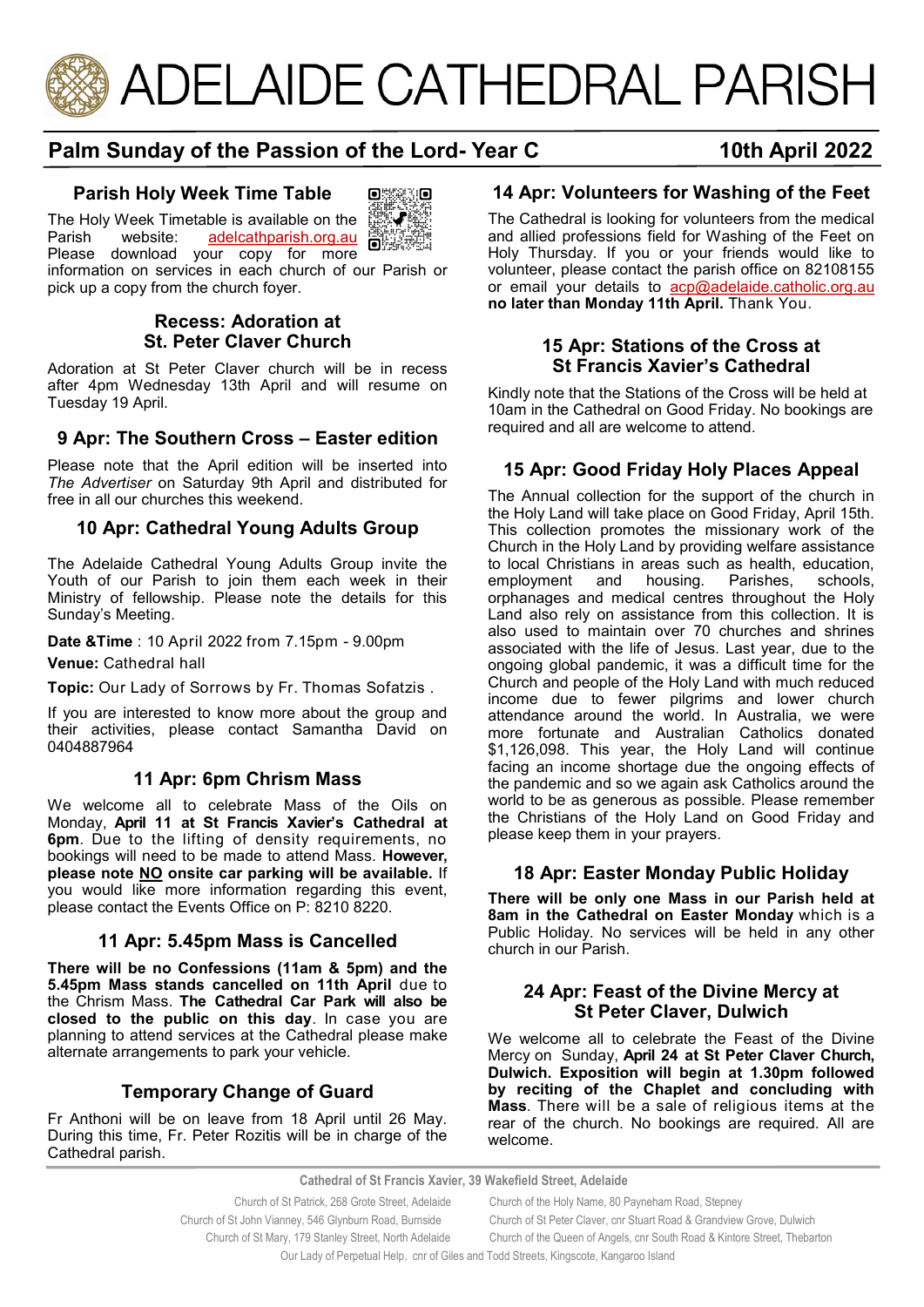

# **Palm Sunday of the Passion of the Lord- Year C 10th April 2022**

# **Parish Holy Week Time Table**

The Holy Week Timetable is available on the<br>Parish website: adelcathparish.org.au



[adelcathparish.org.au](https://www.adelcathparish.org/) **BAR** Please download your copy for more

information on services in each church of our Parish or pick up a copy from the church foyer.

### **Recess: Adoration at St. Peter Claver Church**

Adoration at St Peter Claver church will be in recess after 4pm Wednesday 13th April and will resume on Tuesday 19 April.

### **9 Apr: The Southern Cross – Easter edition**

Please note that the April edition will be inserted into *The Advertiser* on Saturday 9th April and distributed for free in all our churches this weekend.

### **10 Apr: Cathedral Young Adults Group**

The Adelaide Cathedral Young Adults Group invite the Youth of our Parish to join them each week in their Ministry of fellowship. Please note the details for this Sunday's Meeting.

**Date &Time** : 10 April 2022 from 7.15pm - 9.00pm

**Venue:** Cathedral hall

**Topic:** Our Lady of Sorrows by Fr. Thomas Sofatzis .

If you are interested to know more about the group and their activities, please contact Samantha David on 0404887964

#### **11 Apr: 6pm Chrism Mass**

We welcome all to celebrate Mass of the Oils on Monday, **April 11 at St Francis Xavier's Cathedral at 6pm**. Due to the lifting of density requirements, no bookings will need to be made to attend Mass. **However, please note NO onsite car parking will be available.** If you would like more information regarding this event, please contact the Events Office on P: 8210 8220.

#### **11 Apr: 5.45pm Mass is Cancelled**

**There will be no Confessions (11am & 5pm) and the 5.45pm Mass stands cancelled on 11th April** due to the Chrism Mass. **The Cathedral Car Park will also be closed to the public on this day**. In case you are planning to attend services at the Cathedral please make alternate arrangements to park your vehicle.

### **Temporary Change of Guard**

Fr Anthoni will be on leave from 18 April until 26 May. During this time, Fr. Peter Rozitis will be in charge of the Cathedral parish.

# **14 Apr: Volunteers for Washing of the Feet**

The Cathedral is looking for volunteers from the medical and allied professions field for Washing of the Feet on Holy Thursday. If you or your friends would like to volunteer, please contact the parish office on 82108155 or email your details to acp@adelaide.catholic.org.au **no later than Monday 11th April.** Thank You.

#### **15 Apr: Stations of the Cross at St Francis Xavier's Cathedral**

Kindly note that the Stations of the Cross will be held at 10am in the Cathedral on Good Friday. No bookings are required and all are welcome to attend.

# **15 Apr: Good Friday Holy Places Appeal**

The Annual collection for the support of the church in the Holy Land will take place on Good Friday, April 15th. This collection promotes the missionary work of the Church in the Holy Land by providing welfare assistance to local Christians in areas such as health, education, employment and housing. Parishes, schools, orphanages and medical centres throughout the Holy Land also rely on assistance from this collection. It is also used to maintain over 70 churches and shrines associated with the life of Jesus. Last year, due to the ongoing global pandemic, it was a difficult time for the Church and people of the Holy Land with much reduced income due to fewer pilgrims and lower church attendance around the world. In Australia, we were more fortunate and Australian Catholics donated \$1,126,098. This year, the Holy Land will continue facing an income shortage due the ongoing effects of the pandemic and so we again ask Catholics around the world to be as generous as possible. Please remember the Christians of the Holy Land on Good Friday and please keep them in your prayers.

#### **18 Apr: Easter Monday Public Holiday**

**There will be only one Mass in our Parish held at 8am in the Cathedral on Easter Monday** which is a Public Holiday. No services will be held in any other church in our Parish.

#### **24 Apr: Feast of the Divine Mercy at St Peter Claver, Dulwich**

We welcome all to celebrate the Feast of the Divine Mercy on Sunday, **April 24 at St Peter Claver Church, Dulwich. Exposition will begin at 1.30pm followed by reciting of the Chaplet and concluding with Mass**. There will be a sale of religious items at the rear of the church. No bookings are required. All are welcome.

**Cathedral of St Francis Xavier, 39 Wakefield Street, Adelaide**

 Church of St Patrick, 268 Grote Street, Adelaide Church of the Holy Name, 80 Payneham Road, Stepney Church of St John Vianney, 546 Glynburn Road, Burnside Church of St Peter Claver, cnr Stuart Road & Grandview Grove, Dulwich Church of St Mary, 179 Stanley Street, North Adelaide Church of the Queen of Angels, cnr South Road & Kintore Street, Thebarton Our Lady of Perpetual Help, cnr of Giles and Todd Streets, Kingscote, Kangaroo Island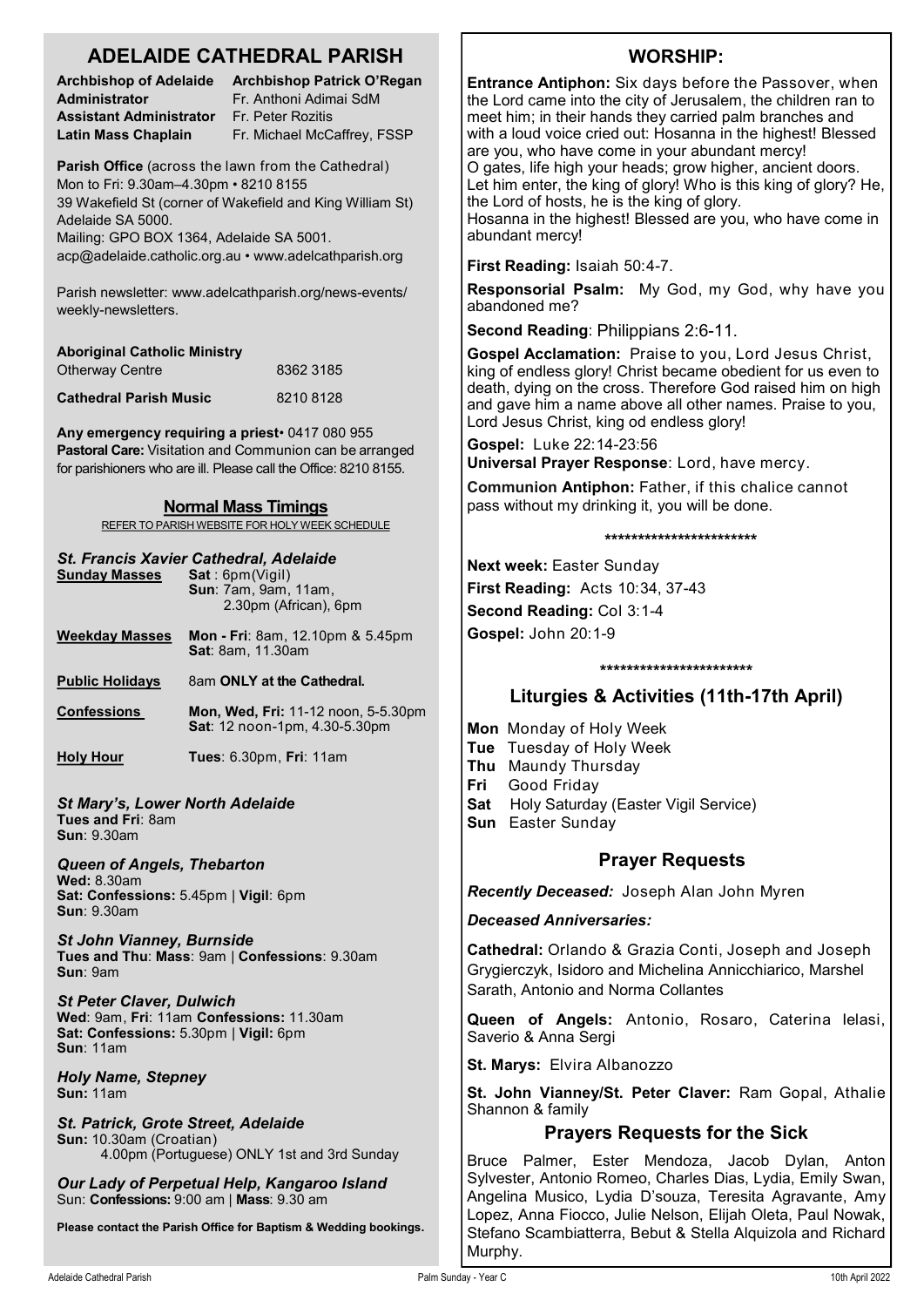# **ADELAIDE CATHEDRAL PARISH**

**Administrator** Fr. Anthoni Adimai SdM **Assistant Administrator** Fr. Peter Rozitis

**Archbishop of Adelaide Archbishop Patrick O'Regan Latin Mass Chaplain** Fr. Michael McCaffrey, FSSP

**Parish Office** (across the lawn from the Cathedral) Mon to Fri: 9.30am–4.30pm • 8210 8155 39 Wakefield St (corner of Wakefield and King William St) Adelaide SA 5000.

Mailing: GPO BOX 1364, Adelaide SA 5001. acp@adelaide.catholic.org.au • www.adelcathparish.org

Parish newsletter: www.adelcathparish.org/news-events/ weekly-newsletters.

| <b>Aboriginal Catholic Ministry</b> |           |
|-------------------------------------|-----------|
| <b>Otherway Centre</b>              | 8362 3185 |
| <b>Cathedral Parish Music</b>       | 82108128  |

**Any emergency requiring a priest**• 0417 080 955 **Pastoral Care:** Visitation and Communion can be arranged for parishioners who are ill. Please call the Office: 8210 8155.

#### **Normal Mass Timings**

REFER TO PARISH WEBSITE FOR HOLY WEEK SCHEDULE

#### *St. Francis Xavier Cathedral, Adelaide*

| <b>Sunday Masses</b>                                                                                     | Sat:6pm(Viqil)<br><b>Sun</b> : 7am, 9am, 11am,<br>2.30pm (African), 6pm     |
|----------------------------------------------------------------------------------------------------------|-----------------------------------------------------------------------------|
| <b>Weekday Masses</b>                                                                                    | <b>Mon - Fri</b> : 8am, 12.10pm & 5.45pm<br><b>Sat: 8am, 11.30am</b>        |
| <b>Public Holidays</b>                                                                                   | 8am ONLY at the Cathedral.                                                  |
| <b>Confessions</b>                                                                                       | <b>Mon, Wed, Fri: 11-12 noon, 5-5.30pm</b><br>Sat: 12 noon-1pm, 4.30-5.30pm |
| <b>Holy Hour</b>                                                                                         | <b>Tues: 6.30pm, Fri: 11am</b>                                              |
| <b>St Mary's, Lower North Adelaide</b><br>Tues and Fri: 8am<br>Sun: 9.30am                               |                                                                             |
| Queen of Angels, Thebarton<br><b>Wed: 8.30am</b><br>Sat: Confessions: 5.45pm   Vigil: 6pm<br>Sun: 9.30am |                                                                             |

*St John Vianney, Burnside* **Tues and Thu**: **Mass**: 9am | **Confessions**: 9.30am **Sun**: 9am

*St Peter Claver, Dulwich* **Wed**: 9am, **Fri**: 11am **Confessions:** 11.30am **Sat: Confessions:** 5.30pm | **Vigil:** 6pm **Sun**: 11am

*Holy Name, Stepney* **Sun:** 11am

*St. Patrick, Grote Street, Adelaide* **Sun:** 10.30am (Croatian) 4.00pm (Portuguese) ONLY 1st and 3rd Sunday

*Our Lady of Perpetual Help, Kangaroo Island* Sun: **Confessions:** 9:00 am | **Mass**: 9.30 am

**Please contact the Parish Office for Baptism & Wedding bookings.**

# **WORSHIP:**

**Entrance Antiphon:** Six days before the Passover, when the Lord came into the city of Jerusalem, the children ran to meet him; in their hands they carried palm branches and with a loud voice cried out: Hosanna in the highest! Blessed are you, who have come in your abundant mercy! O gates, life high your heads; grow higher, ancient doors. Let him enter, the king of glory! Who is this king of glory? He, the Lord of hosts, he is the king of glory.

Hosanna in the highest! Blessed are you, who have come in abundant mercy!

**First Reading:** Isaiah 50:4-7.

**Responsorial Psalm:** My God, my God, why have you abandoned me?

**Second Reading**: Philippians 2:6-11.

**Gospel Acclamation:** Praise to you, Lord Jesus Christ, king of endless glory! Christ became obedient for us even to death, dying on the cross. Therefore God raised him on high and gave him a name above all other names. Praise to you, Lord Jesus Christ, king od endless glory!

**Gospel:** Luke 22:14-23:56 **Universal Prayer Response**: Lord, have mercy.

**Communion Antiphon:** Father, if this chalice cannot pass without my drinking it, you will be done.

#### **\*\*\*\*\*\*\*\*\*\*\*\*\*\*\*\*\*\*\*\*\*\*\***

**Next week:** Easter Sunday **First Reading:** Acts 10:34, 37-43 **Second Reading:** Col 3:1-4 **Gospel:** John 20:1-9

#### **\*\*\*\*\*\*\*\*\*\*\*\*\*\*\*\*\*\*\*\*\*\*\***

# **Liturgies & Activities (11th-17th April)**

**Mon** Monday of Holy Week **Tue** Tuesday of Holy Week **Thu** Maundy Thursday **Fri** Good Friday **Sat** Holy Saturday (Easter Vigil Service) **Sun** Easter Sunday

### **Prayer Requests**

*Recently Deceased:* Joseph Alan John Myren

*Deceased Anniversaries:* 

**Cathedral:** Orlando & Grazia Conti, Joseph and Joseph Grygierczyk, Isidoro and Michelina Annicchiarico, Marshel Sarath, Antonio and Norma Collantes

**Queen of Angels:** Antonio, Rosaro, Caterina Ielasi, Saverio & Anna Sergi

**St. Marys:** Elvira Albanozzo

**St. John Vianney/St. Peter Claver:** Ram Gopal, Athalie Shannon & family

# **Prayers Requests for the Sick**

Bruce Palmer, Ester Mendoza, Jacob Dylan, Anton Sylvester, Antonio Romeo, Charles Dias, Lydia, Emily Swan, Angelina Musico, Lydia D'souza, Teresita Agravante, Amy Lopez, Anna Fiocco, Julie Nelson, Elijah Oleta, Paul Nowak, Stefano Scambiatterra, Bebut & Stella Alquizola and Richard Murphy.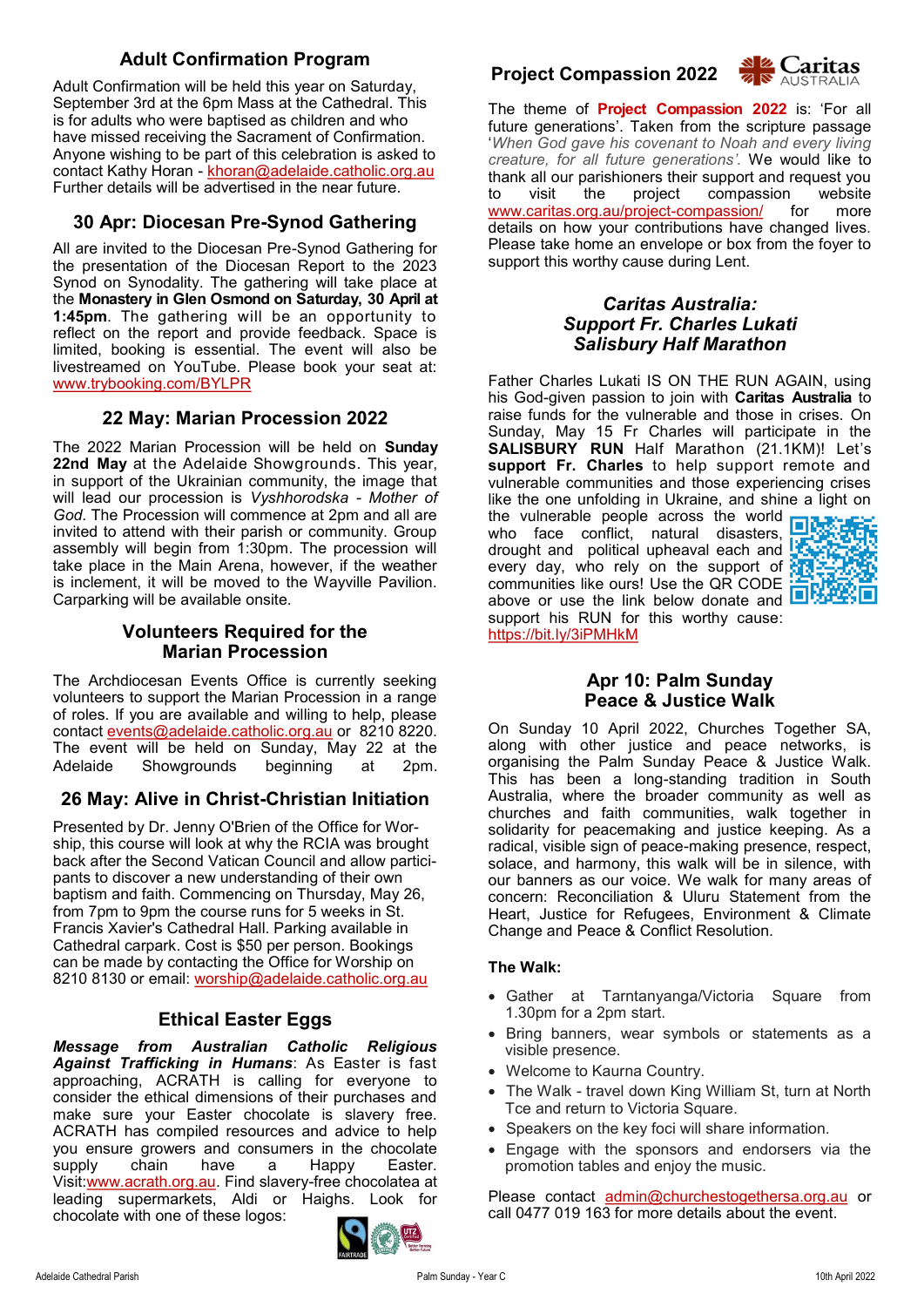# **Adult Confirmation Program**

Adult Confirmation will be held this year on Saturday, September 3rd at the 6pm Mass at the Cathedral. This is for adults who were baptised as children and who have missed receiving the Sacrament of Confirmation. Anyone wishing to be part of this celebration is asked to contact Kathy Horan - [khoran@adelaide.catholic.org.au](mailto:khoran@adelaide.catholic.org.au) Further details will be advertised in the near future.

# **30 Apr: Diocesan Pre-Synod Gathering**

All are invited to the Diocesan Pre-Synod Gathering for the presentation of the Diocesan Report to the 2023 Synod on Synodality. The gathering will take place at the **Monastery in Glen Osmond on Saturday, 30 April at 1:45pm**. The gathering will be an opportunity to reflect on the report and provide feedback. Space is limited, booking is essential. The event will also be livestreamed on YouTube. Please book your seat at: [www.trybooking.com/BYLPR](https://aus01.safelinks.protection.outlook.com/?url=http%3A%2F%2Fwww.trybooking.com%2FBYLPR&data=04%7C01%7Cjbradshaw%40adelaide.catholic.org.au%7Cdedd5c3d286648488a1f08da16a01495%7Cfe51d108d61d407cbcaaaab5af82a7ac%7C1%7C0%7C637847174070527642%7CUnknown%7CTWFp)

# **22 May: Marian Procession 2022**

The 2022 Marian Procession will be held on **Sunday 22nd May** at the Adelaide Showgrounds. This year, in support of the Ukrainian community, the image that will lead our procession is *Vyshhorodska - Mother of God*. The Procession will commence at 2pm and all are invited to attend with their parish or community. Group assembly will begin from 1:30pm. The procession will take place in the Main Arena, however, if the weather is inclement, it will be moved to the Wayville Pavilion. Carparking will be available onsite.

### **Volunteers Required for the Marian Procession**

The Archdiocesan Events Office is currently seeking volunteers to support the Marian Procession in a range of roles. If you are available and willing to help, please contact [events@adelaide.catholic.org.au](mailto:events@adelaide.catholic.org.au) or 8210 8220. The event will be held on Sunday, May 22 at the Adelaide Showgrounds beginning at 2pm.

# **26 May: Alive in Christ-Christian Initiation**

Presented by Dr. Jenny O'Brien of the Office for Worship, this course will look at why the RCIA was brought back after the Second Vatican Council and allow participants to discover a new understanding of their own baptism and faith. Commencing on Thursday, May 26, from 7pm to 9pm the course runs for 5 weeks in St. Francis Xavier's Cathedral Hall. Parking available in Cathedral carpark. Cost is \$50 per person. Bookings can be made by contacting the Office for Worship on 8210 8130 or email: [worship@adelaide.catholic.org.au](mailto:worship@adelaide.catholic.org.au)

# **Ethical Easter Eggs**

*Message from Australian Catholic Religious Against Trafficking in Humans*: As Easter is fast approaching, ACRATH is calling for everyone to consider the ethical dimensions of their purchases and make sure your Easter chocolate is slavery free. ACRATH has compiled resources and advice to help you ensure growers and consumers in the chocolate supply chain have a Happy Easter. Visit:[www.acrath.org.au.](http://www.acrath.org.au) Find slavery-free chocolatea at leading supermarkets, Aldi or Haighs. Look for chocolate with one of these logos:



# **Project Compassion 2022**



The theme of **Project Compassion 2022** is: 'For all future generations'. Taken from the scripture passage '*When God gave his covenant to Noah and every living creature, for all future generations'.* We would like to thank all our parishioners their support and request you<br>to visit the project compassion website to visit the project compassion [www.caritas.org.au/project](http://www.caritas.org.au/project-compassion/)-compassion/ for more details on how your contributions have changed lives. Please take home an envelope or box from the foyer to support this worthy cause during Lent.

### *Caritas Australia: Support Fr. Charles Lukati Salisbury Half Marathon*

Father Charles Lukati IS ON THE RUN AGAIN, using his God-given passion to join with **Caritas Australia** to raise funds for the vulnerable and those in crises. On Sunday, May 15 Fr Charles will participate in the **SALISBURY RUN** Half Marathon (21.1KM)! Let's **support Fr. Charles** to help support remote and vulnerable communities and those experiencing crises like the one unfolding in Ukraine, and shine a light on the vulnerable people across the world  $\Box$ who face conflict, natural disasters, drought and political upheaval each and every day, who rely on the support of communities like ours! Use the QR CODE



**Apr 10: Palm Sunday Peace & Justice Walk**

support his RUN for this worthy cause:

https://bit.ly/3iPMHkM

On Sunday 10 April 2022, Churches Together SA, along with other justice and peace networks, is organising the Palm Sunday Peace & Justice Walk. This has been a long-standing tradition in South Australia, where the broader community as well as churches and faith communities, walk together in solidarity for peacemaking and justice keeping. As a radical, visible sign of peace-making presence, respect, solace, and harmony, this walk will be in silence, with our banners as our voice. We walk for many areas of concern: Reconciliation & Uluru Statement from the Heart, Justice for Refugees, Environment & Climate Change and Peace & Conflict Resolution.

### **The Walk:**

- Gather at Tarntanyanga/Victoria Square from 1.30pm for a 2pm start.
- Bring banners, wear symbols or statements as a visible presence.
- Welcome to Kaurna Country.
- The Walk travel down King William St, turn at North Tce and return to Victoria Square.
- Speakers on the key foci will share information.
- Engage with the sponsors and endorsers via the promotion tables and enjoy the music.

Please contact [admin@churchestogethersa.org.au](mailto:admin@churchestogethersa.org.au?subject=Peace%20Walk%20Sponsorship) or call 0477 019 163 for more details about the event.